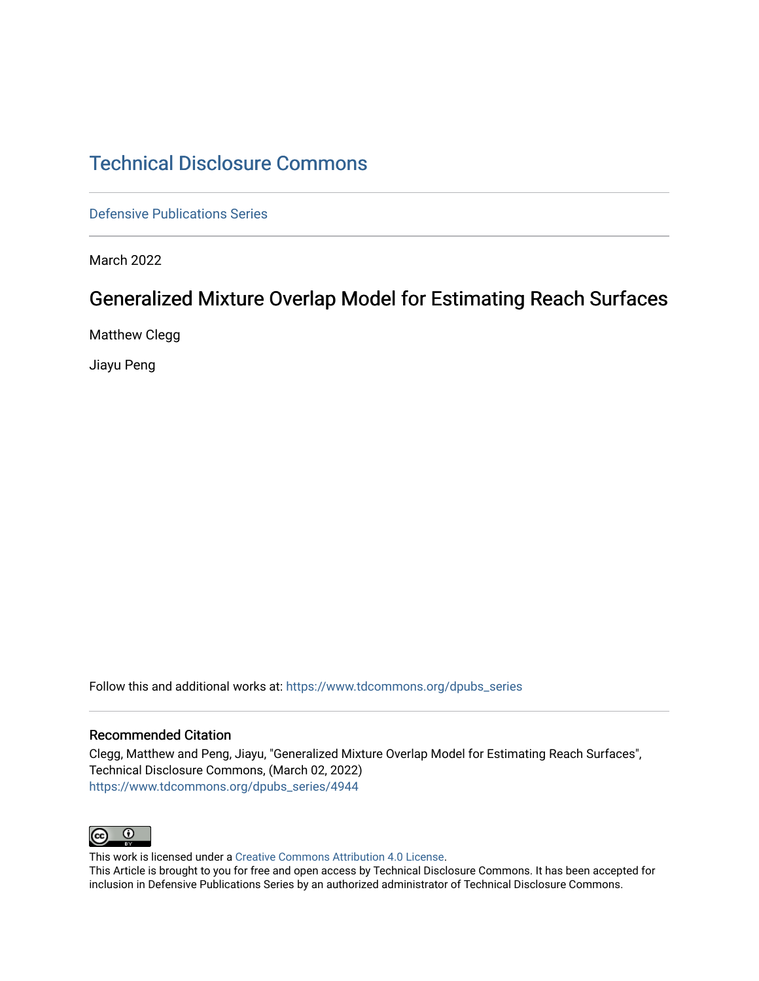# [Technical Disclosure Commons](https://www.tdcommons.org/)

[Defensive Publications Series](https://www.tdcommons.org/dpubs_series)

March 2022

# Generalized Mixture Overlap Model for Estimating Reach Surfaces

Matthew Clegg

Jiayu Peng

Follow this and additional works at: [https://www.tdcommons.org/dpubs\\_series](https://www.tdcommons.org/dpubs_series?utm_source=www.tdcommons.org%2Fdpubs_series%2F4944&utm_medium=PDF&utm_campaign=PDFCoverPages) 

#### Recommended Citation

Clegg, Matthew and Peng, Jiayu, "Generalized Mixture Overlap Model for Estimating Reach Surfaces", Technical Disclosure Commons, (March 02, 2022) [https://www.tdcommons.org/dpubs\\_series/4944](https://www.tdcommons.org/dpubs_series/4944?utm_source=www.tdcommons.org%2Fdpubs_series%2F4944&utm_medium=PDF&utm_campaign=PDFCoverPages)



This work is licensed under a [Creative Commons Attribution 4.0 License](http://creativecommons.org/licenses/by/4.0/deed.en_US).

This Article is brought to you for free and open access by Technical Disclosure Commons. It has been accepted for inclusion in Defensive Publications Series by an authorized administrator of Technical Disclosure Commons.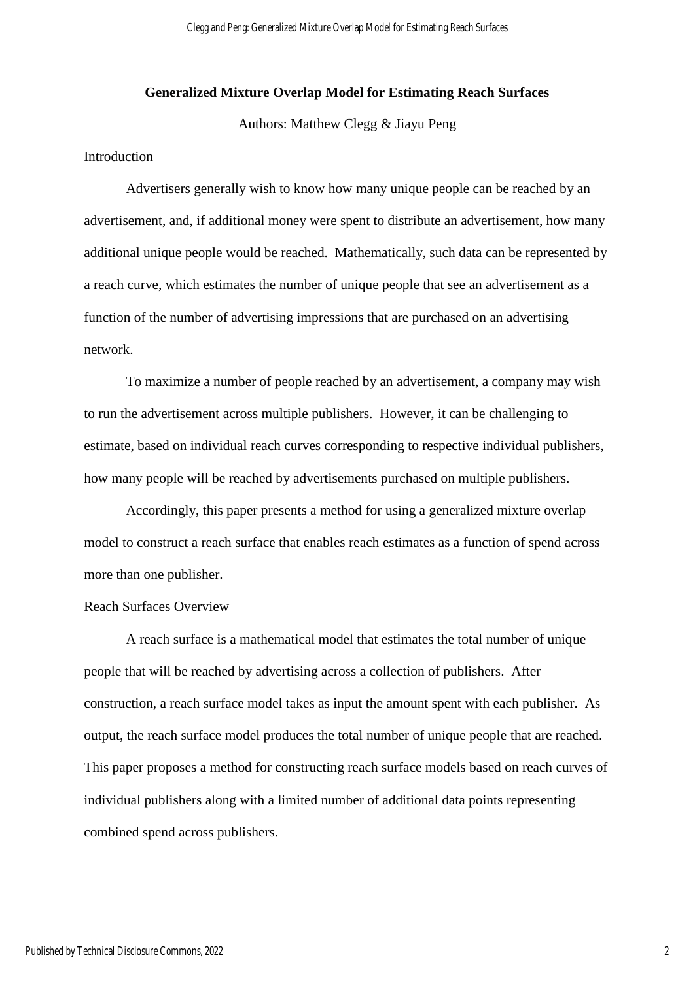## **Generalized Mixture Overlap Model for Estimating Reach Surfaces**

Authors: Matthew Clegg & Jiayu Peng

## Introduction

Advertisers generally wish to know how many unique people can be reached by an advertisement, and, if additional money were spent to distribute an advertisement, how many additional unique people would be reached. Mathematically, such data can be represented by a reach curve, which estimates the number of unique people that see an advertisement as a function of the number of advertising impressions that are purchased on an advertising network.

To maximize a number of people reached by an advertisement, a company may wish to run the advertisement across multiple publishers. However, it can be challenging to estimate, based on individual reach curves corresponding to respective individual publishers, how many people will be reached by advertisements purchased on multiple publishers.

Accordingly, this paper presents a method for using a generalized mixture overlap model to construct a reach surface that enables reach estimates as a function of spend across more than one publisher.

# Reach Surfaces Overview

A reach surface is a mathematical model that estimates the total number of unique people that will be reached by advertising across a collection of publishers. After construction, a reach surface model takes as input the amount spent with each publisher. As output, the reach surface model produces the total number of unique people that are reached. This paper proposes a method for constructing reach surface models based on reach curves of individual publishers along with a limited number of additional data points representing combined spend across publishers.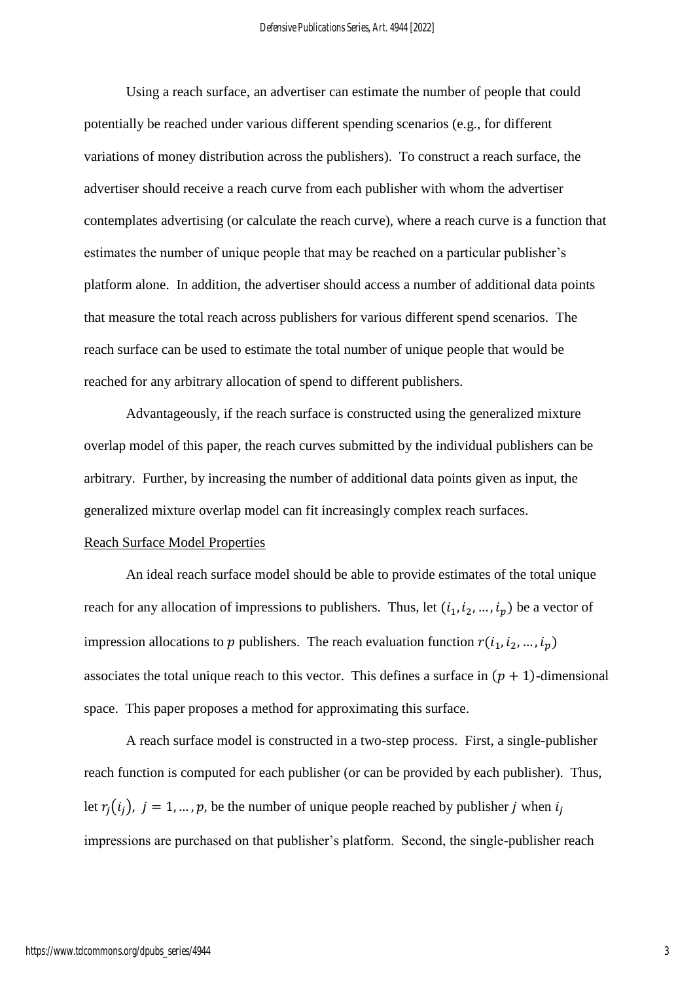Using a reach surface, an advertiser can estimate the number of people that could potentially be reached under various different spending scenarios (e.g., for different variations of money distribution across the publishers). To construct a reach surface, the advertiser should receive a reach curve from each publisher with whom the advertiser contemplates advertising (or calculate the reach curve), where a reach curve is a function that estimates the number of unique people that may be reached on a particular publisher's platform alone. In addition, the advertiser should access a number of additional data points that measure the total reach across publishers for various different spend scenarios. The reach surface can be used to estimate the total number of unique people that would be reached for any arbitrary allocation of spend to different publishers.

Advantageously, if the reach surface is constructed using the generalized mixture overlap model of this paper, the reach curves submitted by the individual publishers can be arbitrary. Further, by increasing the number of additional data points given as input, the generalized mixture overlap model can fit increasingly complex reach surfaces.

### Reach Surface Model Properties

An ideal reach surface model should be able to provide estimates of the total unique reach for any allocation of impressions to publishers. Thus, let  $(i_1, i_2, ..., i_p)$  be a vector of impression allocations to p publishers. The reach evaluation function  $r(i_1, i_2, ..., i_p)$ associates the total unique reach to this vector. This defines a surface in  $(p + 1)$ -dimensional space. This paper proposes a method for approximating this surface.

A reach surface model is constructed in a two-step process. First, a single-publisher reach function is computed for each publisher (or can be provided by each publisher). Thus, let  $r_j(i_j)$ ,  $j = 1, ..., p$ , be the number of unique people reached by publisher *j* when  $i_j$ impressions are purchased on that publisher's platform. Second, the single-publisher reach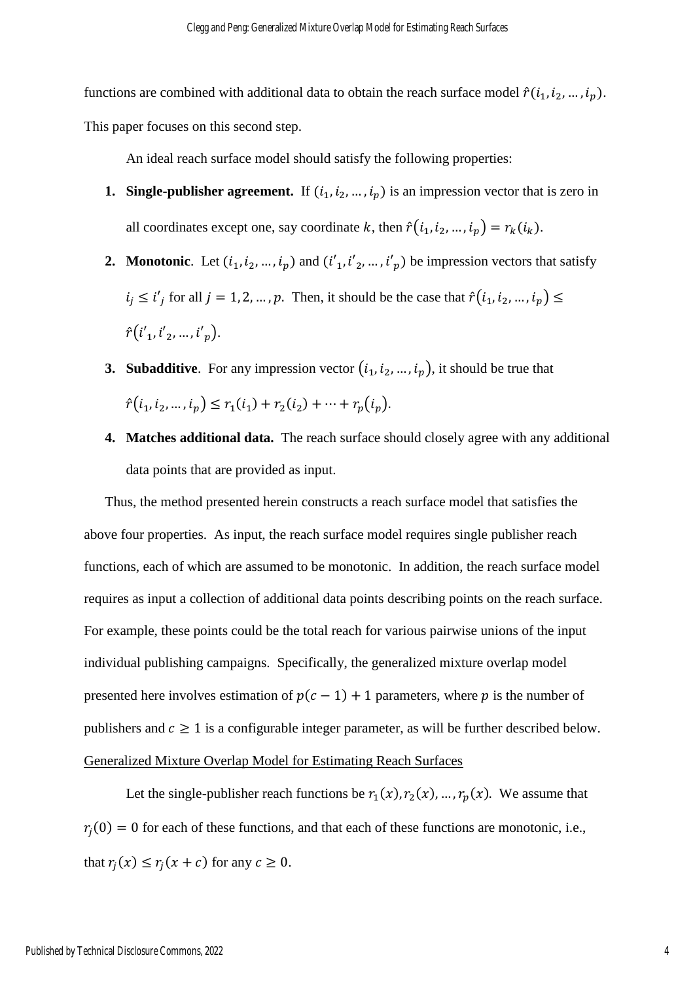functions are combined with additional data to obtain the reach surface model  $\hat{r}(i_1, i_2, \ldots, i_p)$ . This paper focuses on this second step.

An ideal reach surface model should satisfy the following properties:

- **1. Single-publisher agreement.** If  $(i_1, i_2, ..., i_p)$  is an impression vector that is zero in all coordinates except one, say coordinate k, then  $\hat{r}(i_1, i_2, ..., i_p) = r_k(i_k)$ .
- **2. Monotonic**. Let  $(i_1, i_2, ..., i_p)$  and  $(i'_1, i'_2, ..., i'_p)$  be impression vectors that satisfy  $i_j \le i'_j$  for all  $j = 1, 2, ..., p$ . Then, it should be the case that  $\hat{r}(i_1, i_2, ..., i_p) \le$  $\hat{r}(i'_1, i'_2, ..., i'_n).$
- **3. Subadditive**. For any impression vector  $(i_1, i_2, ..., i_p)$ , it should be true that  $\hat{r}(i_1, i_2, ..., i_p) \leq r_1(i_1) + r_2(i_2) + \dots + r_p(i_p).$
- **4. Matches additional data.** The reach surface should closely agree with any additional data points that are provided as input.

Thus, the method presented herein constructs a reach surface model that satisfies the above four properties. As input, the reach surface model requires single publisher reach functions, each of which are assumed to be monotonic. In addition, the reach surface model requires as input a collection of additional data points describing points on the reach surface. For example, these points could be the total reach for various pairwise unions of the input individual publishing campaigns. Specifically, the generalized mixture overlap model presented here involves estimation of  $p(c - 1) + 1$  parameters, where p is the number of publishers and  $c \geq 1$  is a configurable integer parameter, as will be further described below. Generalized Mixture Overlap Model for Estimating Reach Surfaces

Let the single-publisher reach functions be  $r_1(x)$ ,  $r_2(x)$ , ...,  $r_p(x)$ . We assume that  $r_j(0) = 0$  for each of these functions, and that each of these functions are monotonic, i.e., that  $r_j(x) \le r_j(x + c)$  for any  $c \ge 0$ .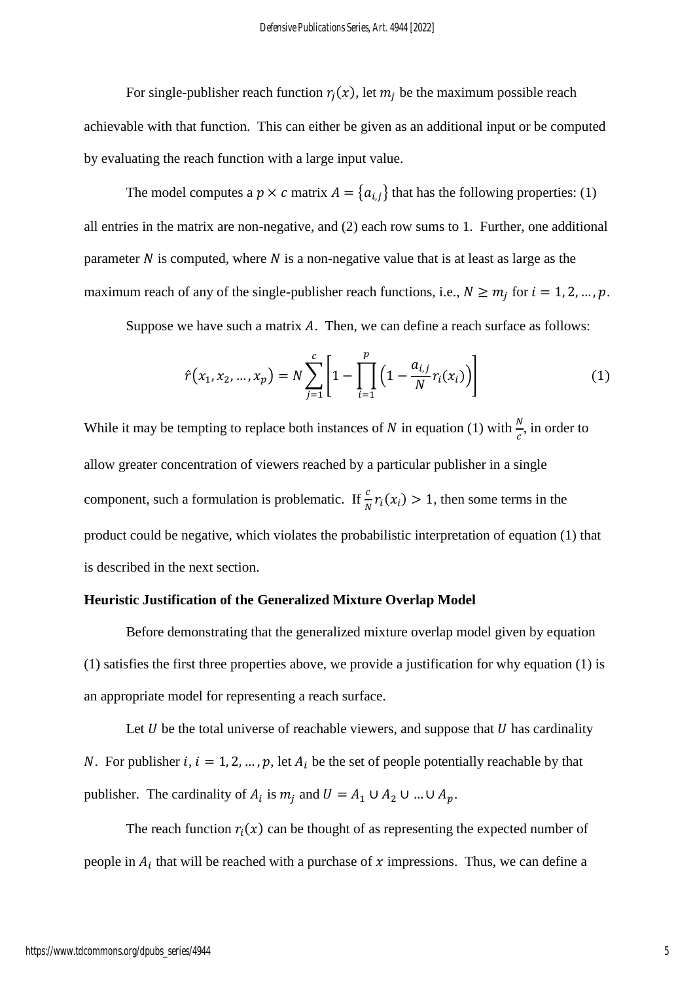For single-publisher reach function  $r_j(x)$ , let  $m_j$  be the maximum possible reach achievable with that function. This can either be given as an additional input or be computed by evaluating the reach function with a large input value.

The model computes a  $p \times c$  matrix  $A = \{a_{i,j}\}\$  that has the following properties: (1) all entries in the matrix are non-negative, and (2) each row sums to 1. Further, one additional parameter  $N$  is computed, where  $N$  is a non-negative value that is at least as large as the maximum reach of any of the single-publisher reach functions, i.e.,  $N \ge m_j$  for  $i = 1, 2, ..., p$ .

Suppose we have such a matrix  $A$ . Then, we can define a reach surface as follows:

$$
\hat{r}(x_1, x_2, ..., x_p) = N \sum_{j=1}^{c} \left[ 1 - \prod_{i=1}^{p} \left( 1 - \frac{a_{i,j}}{N} r_i(x_i) \right) \right]
$$
(1)

While it may be tempting to replace both instances of N in equation (1) with  $\frac{N}{c}$ , in order to allow greater concentration of viewers reached by a particular publisher in a single component, such a formulation is problematic. If  $\frac{c}{N}r_i(x_i) > 1$ , then some terms in the product could be negative, which violates the probabilistic interpretation of equation (1) that is described in the next section.

## **Heuristic Justification of the Generalized Mixture Overlap Model**

Before demonstrating that the generalized mixture overlap model given by equation (1) satisfies the first three properties above, we provide a justification for why equation (1) is an appropriate model for representing a reach surface.

Let  $U$  be the total universe of reachable viewers, and suppose that  $U$  has cardinality N. For publisher i,  $i = 1, 2, ..., p$ , let  $A_i$  be the set of people potentially reachable by that publisher. The cardinality of  $A_i$  is  $m_j$  and  $U = A_1 \cup A_2 \cup ... \cup A_p$ .

The reach function  $r_i(x)$  can be thought of as representing the expected number of people in  $A_i$  that will be reached with a purchase of x impressions. Thus, we can define a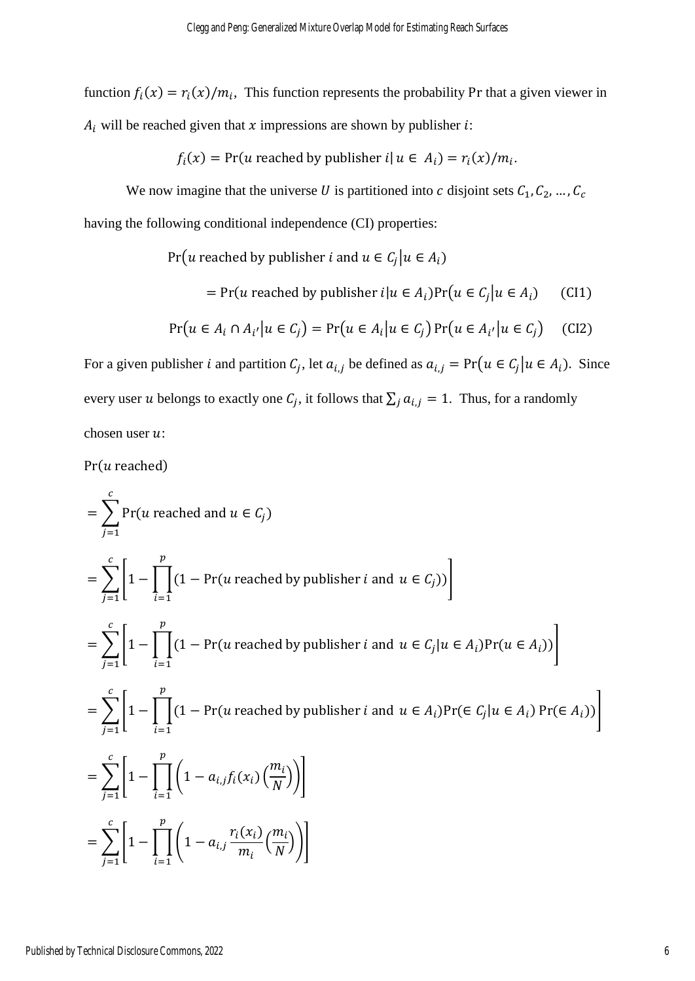function  $f_i(x) = r_i(x)/m_i$ , This function represents the probability Pr that a given viewer in  $A_i$  will be reached given that  $x$  impressions are shown by publisher  $i$ :

$$
f_i(x) = Pr(u \text{ reached by publisher } i | u \in A_i) = r_i(x)/m_i.
$$

We now imagine that the universe U is partitioned into c disjoint sets  $C_1, C_2, ..., C_c$ having the following conditional independence (CI) properties:

Pr(*u* reached by publisher *i* and  $u \in C_j | u \in A_i$ )

= Pr(*u* reached by publisher 
$$
i|u \in A_i
$$
)Pr( $u \in C_j | u \in A_i$ ) (CI1)

$$
\Pr(u \in A_i \cap A_{i'} | u \in C_j) = \Pr(u \in A_i | u \in C_j) \Pr(u \in A_{i'} | u \in C_j)
$$
 (CI2)

For a given publisher *i* and partition  $C_j$ , let  $a_{i,j}$  be defined as  $a_{i,j} = Pr(u \in C_j | u \in A_i)$ . Since every user *u* belongs to exactly one  $C_j$ , it follows that  $\sum_j a_{i,j} = 1$ . Thus, for a randomly chosen user  $u$ :

 $Pr(u \text{ reached})$ 

$$
\begin{aligned}\n&= \sum_{j=1}^{c} \Pr(u \text{ reached and } u \in C_j) \\
&= \sum_{j=1}^{c} \left[ 1 - \prod_{i=1}^{p} (1 - \Pr(u \text{ reached by publisher } i \text{ and } u \in C_j)) \right] \\
&= \sum_{j=1}^{c} \left[ 1 - \prod_{i=1}^{p} (1 - \Pr(u \text{ reached by publisher } i \text{ and } u \in C_j | u \in A_i) \Pr(u \in A_i)) \right] \\
&= \sum_{j=1}^{c} \left[ 1 - \prod_{i=1}^{p} (1 - \Pr(u \text{ reached by publisher } i \text{ and } u \in A_i) \Pr(\in C_j | u \in A_i) \Pr(\in A_i)) \right] \\
&= \sum_{j=1}^{c} \left[ 1 - \prod_{i=1}^{p} \left( 1 - a_{i,j} f_i(x_i) \left( \frac{m_i}{N} \right) \right) \right] \\
&= \sum_{j=1}^{c} \left[ 1 - \prod_{i=1}^{p} \left( 1 - a_{i,j} \frac{r_i(x_i)}{m_i} \left( \frac{m_i}{N} \right) \right) \right]\n\end{aligned}
$$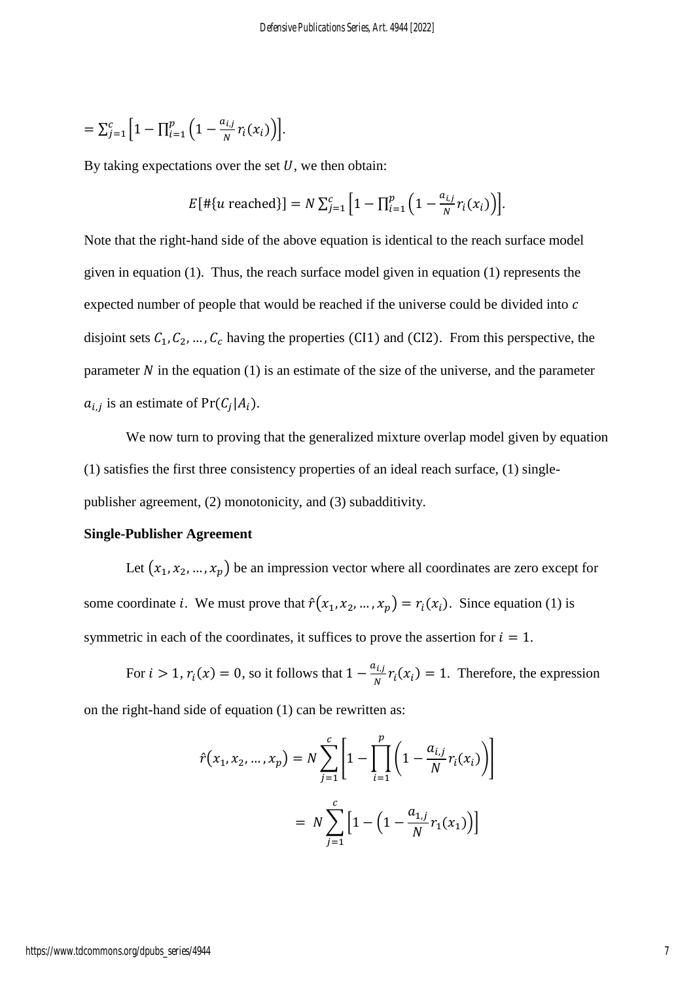$$
= \sum_{j=1}^{c} \Big[ 1 - \prod_{i=1}^{p} \Big( 1 - \frac{a_{i,j}}{N} r_i(x_i) \Big) \Big].
$$

By taking expectations over the set  $U$ , we then obtain:

$$
E[\#\{u \text{ reached}\}] = N \sum_{j=1}^{c} \Big[1 - \prod_{i=1}^{p} \Big(1 - \frac{a_{i,j}}{N} r_i(x_i)\Big)\Big].
$$

Note that the right-hand side of the above equation is identical to the reach surface model given in equation (1). Thus, the reach surface model given in equation (1) represents the expected number of people that would be reached if the universe could be divided into c disjoint sets  $C_1, C_2, ..., C_c$  having the properties (CI1) and (CI2). From this perspective, the parameter  $N$  in the equation (1) is an estimate of the size of the universe, and the parameter  $a_{i,j}$  is an estimate of  $Pr(C_j|A_i)$ .

We now turn to proving that the generalized mixture overlap model given by equation (1) satisfies the first three consistency properties of an ideal reach surface, (1) singlepublisher agreement, (2) monotonicity, and (3) subadditivity.

## **Single-Publisher Agreement**

Let  $(x_1, x_2, ..., x_p)$  be an impression vector where all coordinates are zero except for some coordinate *i*. We must prove that  $\hat{r}(x_1, x_2, ..., x_p) = r_i(x_i)$ . Since equation (1) is symmetric in each of the coordinates, it suffices to prove the assertion for  $i = 1$ .

For  $i > 1$ ,  $r_i(x) = 0$ , so it follows that  $1 - \frac{a_{i,j}}{N}$  $\sum_{i,j} r_i(x_i) = 1$ . Therefore, the expression on the right-hand side of equation (1) can be rewritten as:

$$
\hat{r}(x_1, x_2, ..., x_p) = N \sum_{j=1}^{c} \left[ 1 - \prod_{i=1}^{p} \left( 1 - \frac{a_{i,j}}{N} r_i(x_i) \right) \right]
$$

$$
= N \sum_{j=1}^{c} \left[ 1 - \left( 1 - \frac{a_{1,j}}{N} r_1(x_1) \right) \right]
$$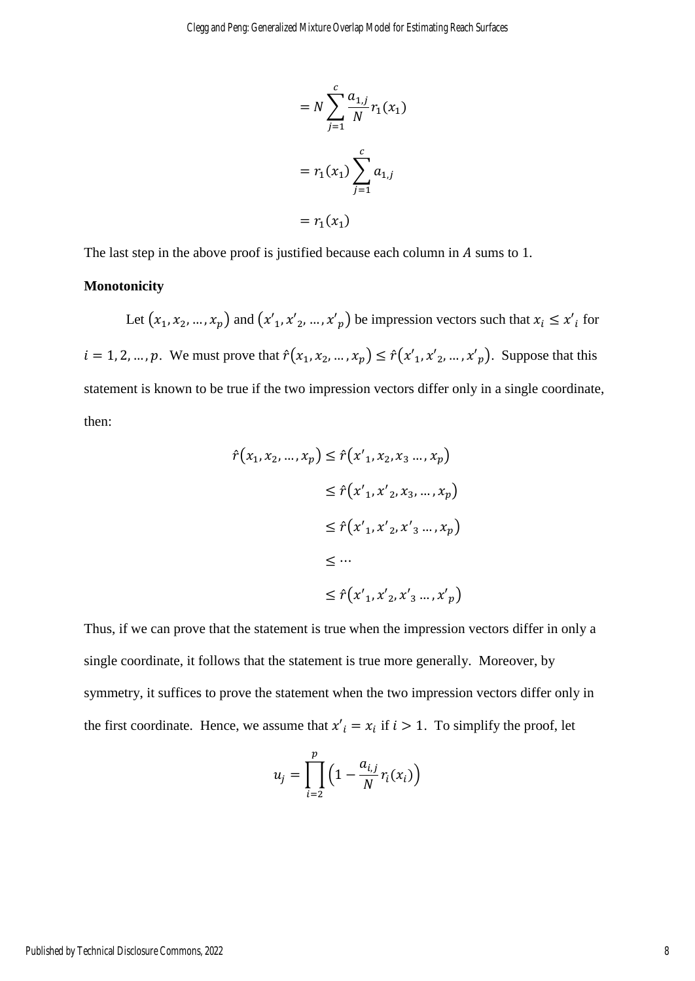$$
= N \sum_{j=1}^{c} \frac{a_{1,j}}{N} r_1(x_1)
$$

$$
= r_1(x_1) \sum_{j=1}^{c} a_{1,j}
$$

$$
= r_1(x_1)
$$

The last step in the above proof is justified because each column in  $A$  sums to 1.

## **Monotonicity**

Let  $(x_1, x_2, ..., x_p)$  and  $(x'_1, x'_2, ..., x'_p)$  be impression vectors such that  $x_i \leq x'_i$  for  $i = 1, 2, ..., p$ . We must prove that  $\hat{r}(x_1, x_2, ..., x_p) \leq \hat{r}(x'_1, x'_2, ..., x'_p)$ . Suppose that this statement is known to be true if the two impression vectors differ only in a single coordinate, then:

$$
\hat{r}(x_1, x_2, ..., x_p) \leq \hat{r}(x'_1, x_2, x_3 ..., x_p)
$$
  
\n
$$
\leq \hat{r}(x'_1, x'_2, x_3, ..., x_p)
$$
  
\n
$$
\leq \hat{r}(x'_1, x'_2, x'_3 ..., x_p)
$$
  
\n
$$
\leq ...
$$
  
\n
$$
\leq \hat{r}(x'_1, x'_2, x'_3 ..., x'_p)
$$

Thus, if we can prove that the statement is true when the impression vectors differ in only a single coordinate, it follows that the statement is true more generally. Moreover, by symmetry, it suffices to prove the statement when the two impression vectors differ only in the first coordinate. Hence, we assume that  $x'_i = x_i$  if  $i > 1$ . To simplify the proof, let

$$
u_j = \prod_{i=2}^p \left(1 - \frac{a_{i,j}}{N} r_i(x_i)\right)
$$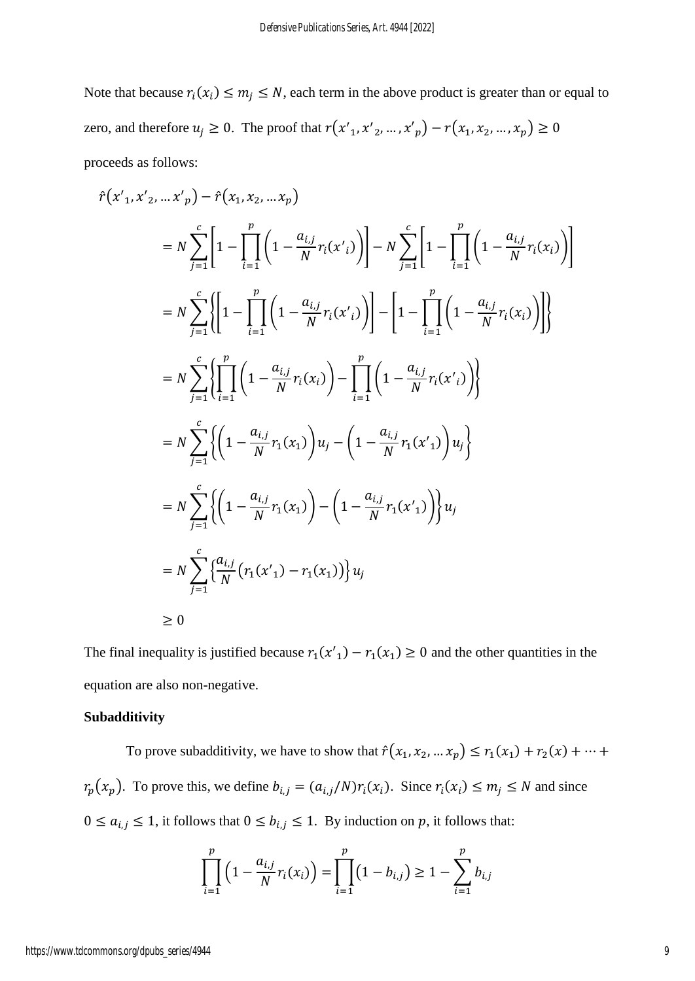Note that because  $r_i(x_i) \leq m_j \leq N$ , each term in the above product is greater than or equal to zero, and therefore  $u_j \ge 0$ . The proof that  $r(x'_1, x'_2, ..., x'_p) - r(x_1, x_2, ..., x_p) \ge 0$ proceeds as follows:

$$
\hat{r}(x'_{1}, x'_{2}, ... x'_{p}) - \hat{r}(x_{1}, x_{2}, ... x_{p})
$$
\n
$$
= N \sum_{j=1}^{c} \left[ 1 - \prod_{i=1}^{p} \left( 1 - \frac{a_{i,j}}{N} r_{i}(x'_{i}) \right) \right] - N \sum_{j=1}^{c} \left[ 1 - \prod_{i=1}^{p} \left( 1 - \frac{a_{i,j}}{N} r_{i}(x_{i}) \right) \right]
$$
\n
$$
= N \sum_{j=1}^{c} \left\{ \left[ 1 - \prod_{i=1}^{p} \left( 1 - \frac{a_{i,j}}{N} r_{i}(x'_{i}) \right) \right] - \left[ 1 - \prod_{i=1}^{p} \left( 1 - \frac{a_{i,j}}{N} r_{i}(x_{i}) \right) \right] \right\}
$$
\n
$$
= N \sum_{j=1}^{c} \left\{ \left[ \prod_{i=1}^{p} \left( 1 - \frac{a_{i,j}}{N} r_{i}(x_{i}) \right) - \prod_{i=1}^{p} \left( 1 - \frac{a_{i,j}}{N} r_{i}(x'_{i}) \right) \right\}
$$
\n
$$
= N \sum_{j=1}^{c} \left\{ \left( 1 - \frac{a_{i,j}}{N} r_{i}(x_{1}) \right) u_{j} - \left( 1 - \frac{a_{i,j}}{N} r_{i}(x'_{1}) \right) u_{j} \right\}
$$
\n
$$
= N \sum_{j=1}^{c} \left\{ \left( 1 - \frac{a_{i,j}}{N} r_{i}(x_{1}) \right) - \left( 1 - \frac{a_{i,j}}{N} r_{i}(x'_{1}) \right) u_{j} \right\}
$$
\n
$$
= N \sum_{j=1}^{c} \left\{ \left( 1 - \frac{a_{i,j}}{N} r_{i}(x_{1}) - r_{i}(x_{1}) \right) u_{j}
$$
\n
$$
\geq 0
$$

The final inequality is justified because  $r_1(x'_1) - r_1(x_1) \ge 0$  and the other quantities in the equation are also non-negative.

## **Subadditivity**

To prove subadditivity, we have to show that  $\hat{r}(x_1, x_2, ... x_p) \le r_1(x_1) + r_2(x) + ... +$  $r_p(x_p)$ . To prove this, we define  $b_{i,j} = (a_{i,j}/N)r_i(x_i)$ . Since  $r_i(x_i) \le m_j \le N$  and since  $0 \le a_{i,j} \le 1$ , it follows that  $0 \le b_{i,j} \le 1$ . By induction on p, it follows that:

$$
\prod_{i=1}^p \left(1 - \frac{a_{i,j}}{N} r_i(x_i)\right) = \prod_{i=1}^p \left(1 - b_{i,j}\right) \ge 1 - \sum_{i=1}^p b_{i,j}
$$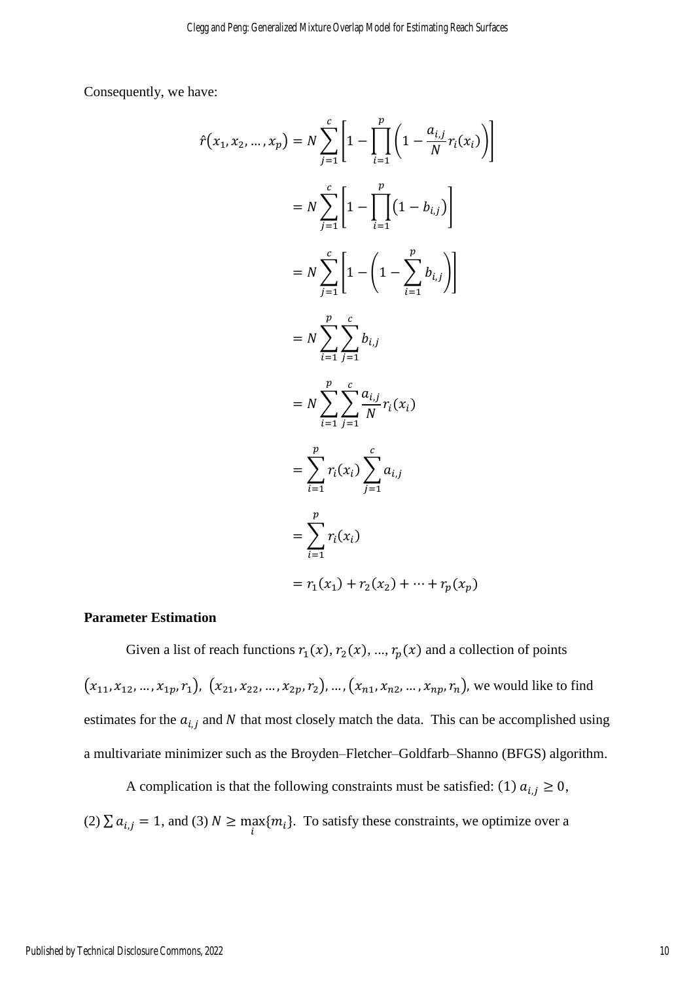Consequently, we have:

$$
\hat{r}(x_1, x_2, ..., x_p) = N \sum_{j=1}^{c} \left[ 1 - \prod_{i=1}^{p} \left( 1 - \frac{a_{i,j}}{N} r_i(x_i) \right) \right]
$$
  
\n
$$
= N \sum_{j=1}^{c} \left[ 1 - \prod_{i=1}^{p} \left( 1 - b_{i,j} \right) \right]
$$
  
\n
$$
= N \sum_{j=1}^{c} \left[ 1 - \left( 1 - \sum_{i=1}^{p} b_{i,j} \right) \right]
$$
  
\n
$$
= N \sum_{i=1}^{p} \sum_{j=1}^{c} b_{i,j}
$$
  
\n
$$
= N \sum_{i=1}^{p} \sum_{j=1}^{c} \frac{a_{i,j}}{N} r_i(x_i)
$$
  
\n
$$
= \sum_{i=1}^{p} r_i(x_i) \sum_{j=1}^{c} a_{i,j}
$$
  
\n
$$
= \sum_{i=1}^{p} r_i(x_i)
$$
  
\n
$$
= r_1(x_1) + r_2(x_2) + \dots + r_p(x_p)
$$

## **Parameter Estimation**

Given a list of reach functions  $r_1(x)$ ,  $r_2(x)$ , ...,  $r_p(x)$  and a collection of points  $(x_{11}, x_{12}, ..., x_{1p}, r_1), (x_{21}, x_{22}, ..., x_{2p}, r_2), ..., (x_{n1}, x_{n2}, ..., x_{np}, r_n)$ , we would like to find estimates for the  $a_{i,j}$  and N that most closely match the data. This can be accomplished using a multivariate minimizer such as the Broyden–Fletcher–Goldfarb–Shanno (BFGS) algorithm.

A complication is that the following constraints must be satisfied: (1)  $a_{i,j} \ge 0$ , (2)  $\sum a_{i,j} = 1$ , and (3)  $N \ge \max_i \{m_i\}$ . To satisfy these constraints, we optimize over a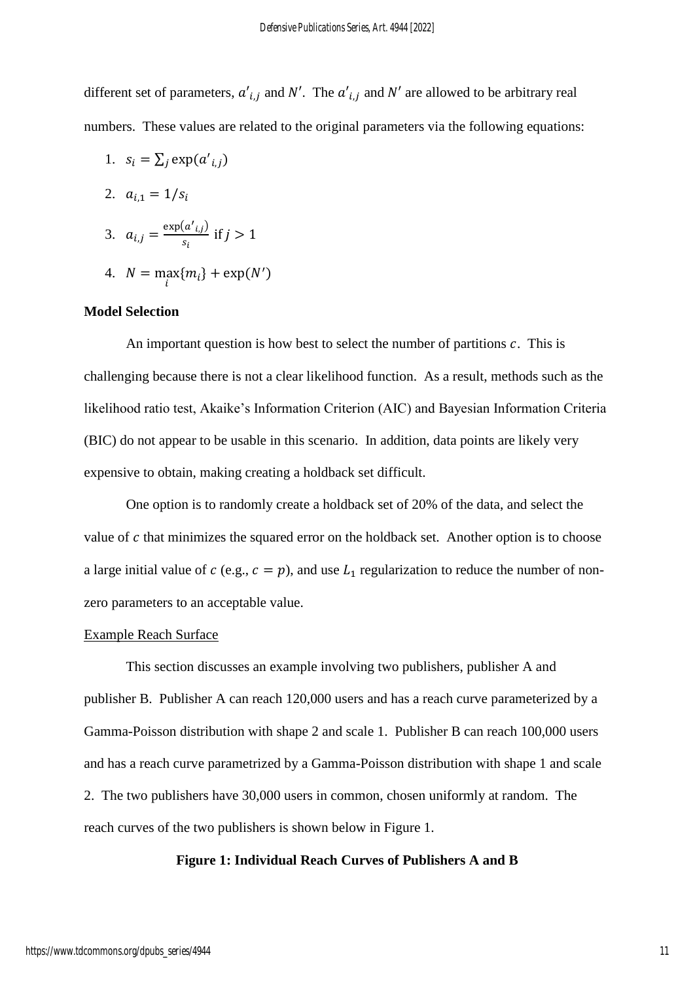different set of parameters,  $a'_{i,j}$  and N'. The  $a'_{i,j}$  and N' are allowed to be arbitrary real numbers. These values are related to the original parameters via the following equations:

1. 
$$
s_i = \sum_j \exp(a'_{i,j})
$$

2. 
$$
a_{i,1} = 1/s_i
$$

3. 
$$
a_{i,j} = \frac{\exp(a'_{i,j})}{s_i}
$$
 if  $j > 1$ 

4.  $N = \max_{i} \{m_i\} + \exp(N')$ 

## **Model Selection**

An important question is how best to select the number of partitions  $c$ . This is challenging because there is not a clear likelihood function. As a result, methods such as the likelihood ratio test, Akaike's Information Criterion (AIC) and Bayesian Information Criteria (BIC) do not appear to be usable in this scenario. In addition, data points are likely very expensive to obtain, making creating a holdback set difficult.

One option is to randomly create a holdback set of 20% of the data, and select the value of  $c$  that minimizes the squared error on the holdback set. Another option is to choose a large initial value of  $c$  (e.g.,  $c = p$ ), and use  $L_1$  regularization to reduce the number of nonzero parameters to an acceptable value.

#### Example Reach Surface

This section discusses an example involving two publishers, publisher A and publisher B. Publisher A can reach 120,000 users and has a reach curve parameterized by a Gamma-Poisson distribution with shape 2 and scale 1. Publisher B can reach 100,000 users and has a reach curve parametrized by a Gamma-Poisson distribution with shape 1 and scale 2. The two publishers have 30,000 users in common, chosen uniformly at random. The reach curves of the two publishers is shown below in Figure 1.

#### **Figure 1: Individual Reach Curves of Publishers A and B**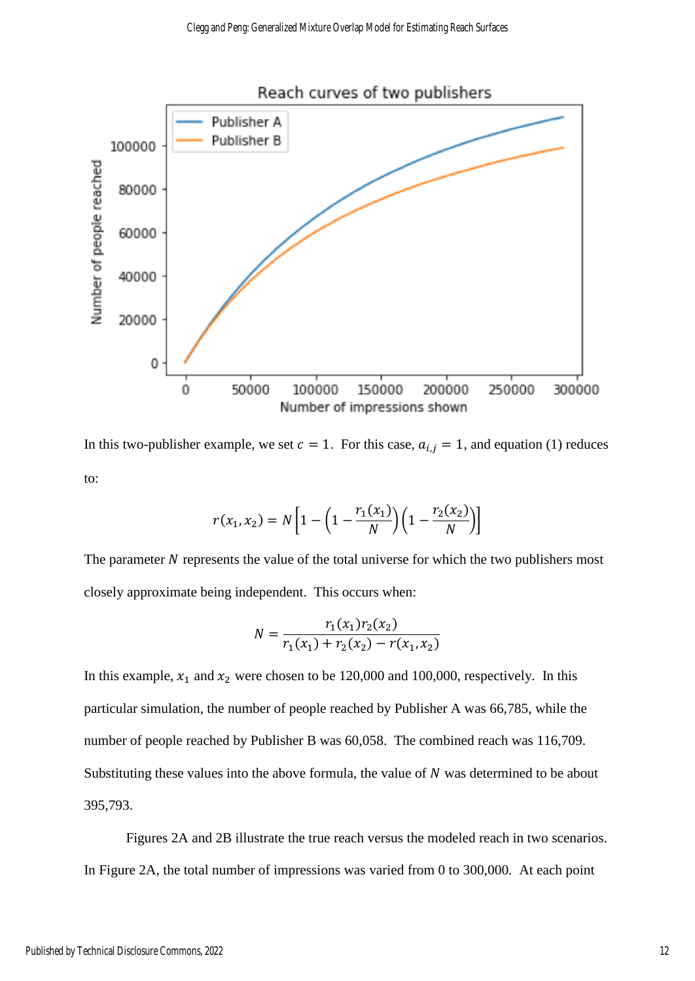

In this two-publisher example, we set  $c = 1$ . For this case,  $a_{i,j} = 1$ , and equation (1) reduces to:

$$
r(x_1, x_2) = N \left[ 1 - \left( 1 - \frac{r_1(x_1)}{N} \right) \left( 1 - \frac{r_2(x_2)}{N} \right) \right]
$$

The parameter  $N$  represents the value of the total universe for which the two publishers most closely approximate being independent. This occurs when:

$$
N = \frac{r_1(x_1)r_2(x_2)}{r_1(x_1) + r_2(x_2) - r(x_1, x_2)}
$$

In this example,  $x_1$  and  $x_2$  were chosen to be 120,000 and 100,000, respectively. In this particular simulation, the number of people reached by Publisher A was 66,785, while the number of people reached by Publisher B was 60,058. The combined reach was 116,709. Substituting these values into the above formula, the value of  $N$  was determined to be about 395,793.

Figures 2A and 2B illustrate the true reach versus the modeled reach in two scenarios. In Figure 2A, the total number of impressions was varied from 0 to 300,000. At each point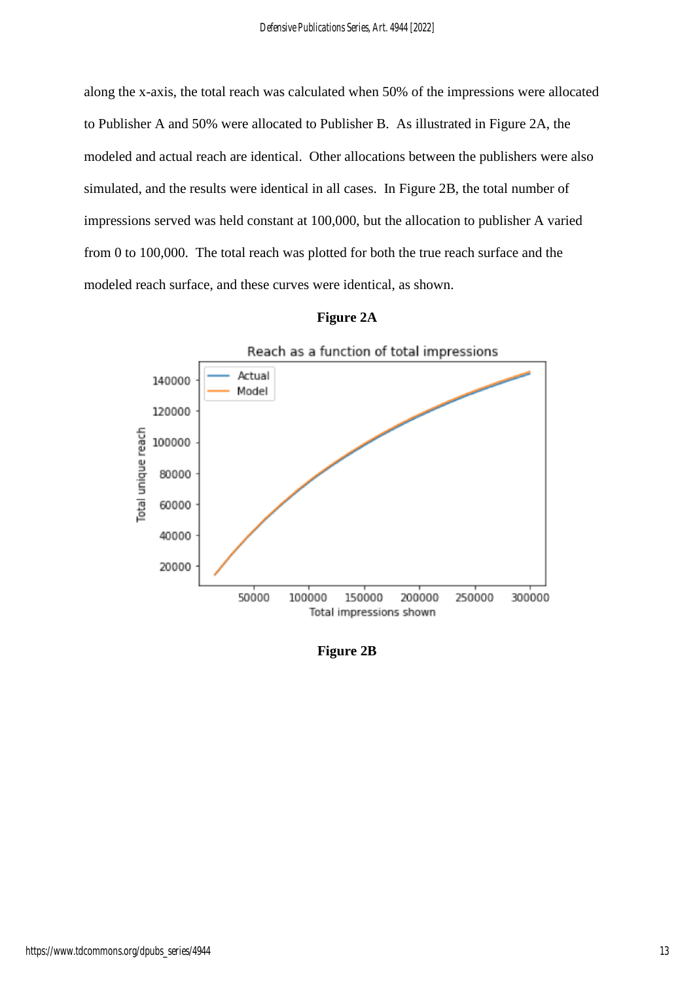along the x-axis, the total reach was calculated when 50% of the impressions were allocated to Publisher A and 50% were allocated to Publisher B. As illustrated in Figure 2A, the modeled and actual reach are identical. Other allocations between the publishers were also simulated, and the results were identical in all cases. In Figure 2B, the total number of impressions served was held constant at 100,000, but the allocation to publisher A varied from 0 to 100,000. The total reach was plotted for both the true reach surface and the modeled reach surface, and these curves were identical, as shown.



| Figure | 2A |
|--------|----|
|--------|----|

**Figure 2B**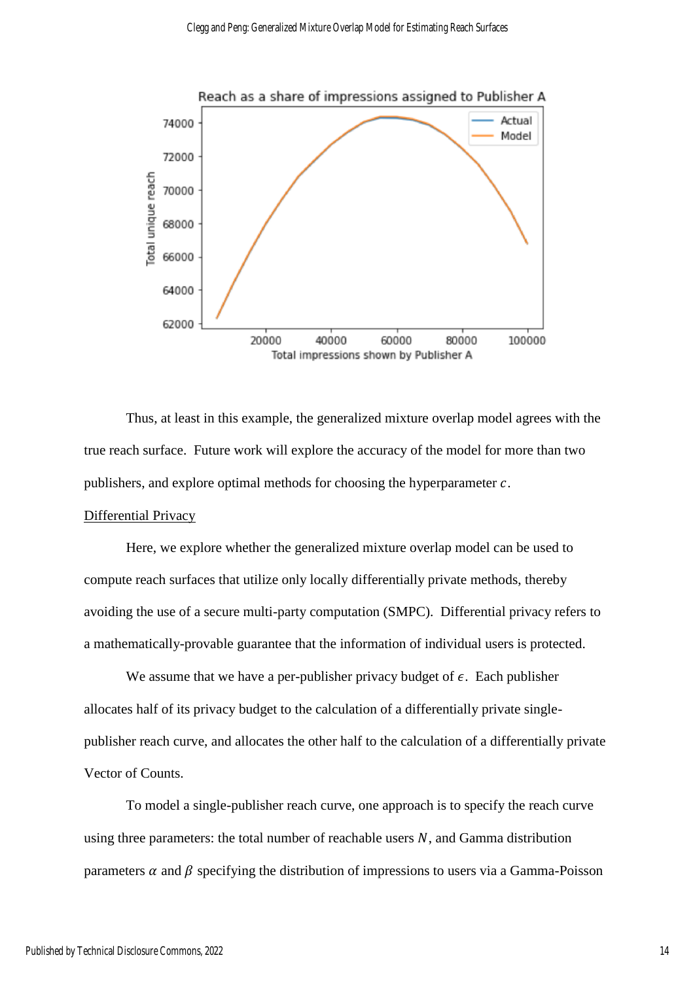

Thus, at least in this example, the generalized mixture overlap model agrees with the true reach surface. Future work will explore the accuracy of the model for more than two publishers, and explore optimal methods for choosing the hyperparameter  $c$ .

#### Differential Privacy

Here, we explore whether the generalized mixture overlap model can be used to compute reach surfaces that utilize only locally differentially private methods, thereby avoiding the use of a secure multi-party computation (SMPC). Differential privacy refers to a mathematically-provable guarantee that the information of individual users is protected.

We assume that we have a per-publisher privacy budget of  $\epsilon$ . Each publisher allocates half of its privacy budget to the calculation of a differentially private singlepublisher reach curve, and allocates the other half to the calculation of a differentially private Vector of Counts.

To model a single-publisher reach curve, one approach is to specify the reach curve using three parameters: the total number of reachable users  $N$ , and Gamma distribution parameters  $\alpha$  and  $\beta$  specifying the distribution of impressions to users via a Gamma-Poisson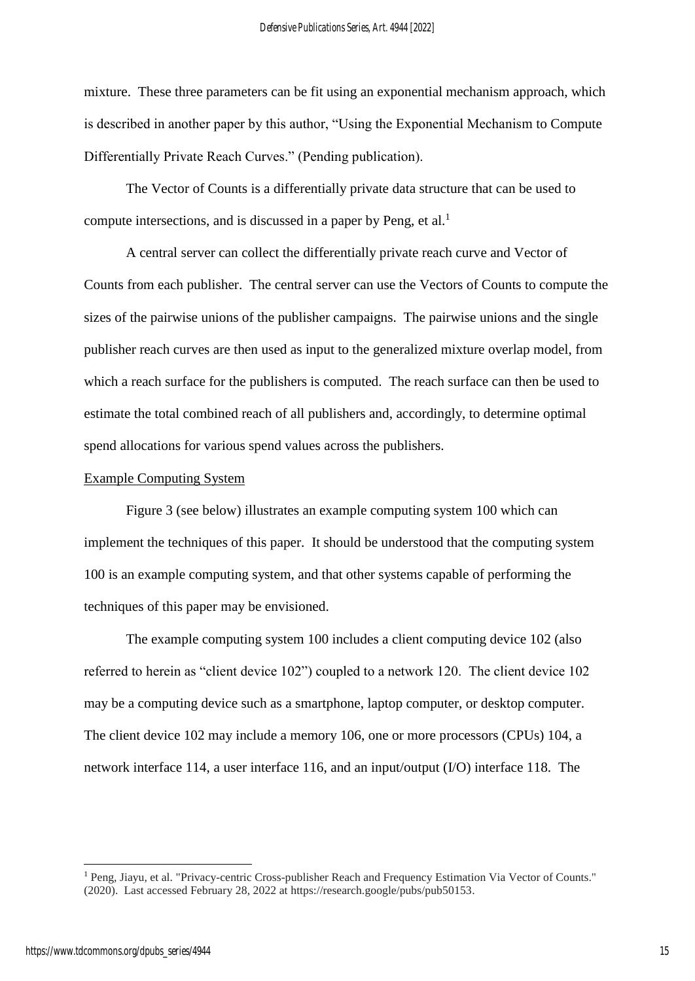mixture. These three parameters can be fit using an exponential mechanism approach, which is described in another paper by this author, "Using the Exponential Mechanism to Compute Differentially Private Reach Curves." (Pending publication).

The Vector of Counts is a differentially private data structure that can be used to compute intersections, and is discussed in a paper by Peng, et al.<sup>1</sup>

A central server can collect the differentially private reach curve and Vector of Counts from each publisher. The central server can use the Vectors of Counts to compute the sizes of the pairwise unions of the publisher campaigns. The pairwise unions and the single publisher reach curves are then used as input to the generalized mixture overlap model, from which a reach surface for the publishers is computed. The reach surface can then be used to estimate the total combined reach of all publishers and, accordingly, to determine optimal spend allocations for various spend values across the publishers.

# Example Computing System

Figure 3 (see below) illustrates an example computing system 100 which can implement the techniques of this paper. It should be understood that the computing system 100 is an example computing system, and that other systems capable of performing the techniques of this paper may be envisioned.

The example computing system 100 includes a client computing device 102 (also referred to herein as "client device 102") coupled to a network 120. The client device 102 may be a computing device such as a smartphone, laptop computer, or desktop computer. The client device 102 may include a memory 106, one or more processors (CPUs) 104, a network interface 114, a user interface 116, and an input/output (I/O) interface 118. The

-

<sup>&</sup>lt;sup>1</sup> Peng, Jiayu, et al. "Privacy-centric Cross-publisher Reach and Frequency Estimation Via Vector of Counts." (2020). Last accessed February 28, 2022 at https://research.google/pubs/pub50153.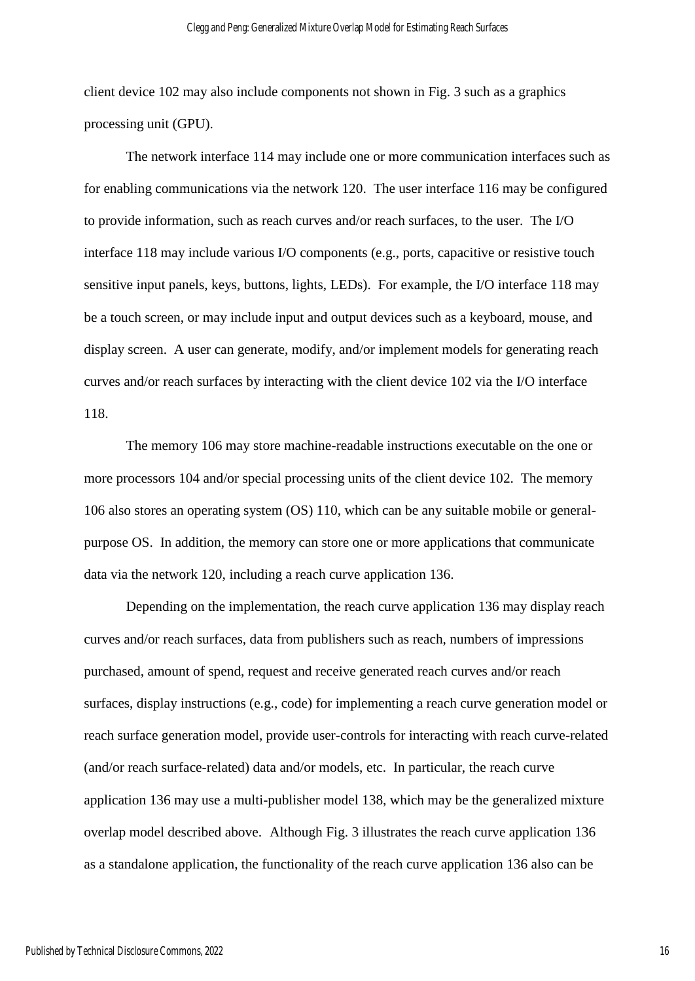client device 102 may also include components not shown in Fig. 3 such as a graphics processing unit (GPU).

The network interface 114 may include one or more communication interfaces such as for enabling communications via the network 120. The user interface 116 may be configured to provide information, such as reach curves and/or reach surfaces, to the user. The I/O interface 118 may include various I/O components (e.g., ports, capacitive or resistive touch sensitive input panels, keys, buttons, lights, LEDs). For example, the I/O interface 118 may be a touch screen, or may include input and output devices such as a keyboard, mouse, and display screen. A user can generate, modify, and/or implement models for generating reach curves and/or reach surfaces by interacting with the client device 102 via the I/O interface 118.

The memory 106 may store machine-readable instructions executable on the one or more processors 104 and/or special processing units of the client device 102. The memory 106 also stores an operating system (OS) 110, which can be any suitable mobile or generalpurpose OS. In addition, the memory can store one or more applications that communicate data via the network 120, including a reach curve application 136.

Depending on the implementation, the reach curve application 136 may display reach curves and/or reach surfaces, data from publishers such as reach, numbers of impressions purchased, amount of spend, request and receive generated reach curves and/or reach surfaces, display instructions (e.g., code) for implementing a reach curve generation model or reach surface generation model, provide user-controls for interacting with reach curve-related (and/or reach surface-related) data and/or models, etc. In particular, the reach curve application 136 may use a multi-publisher model 138, which may be the generalized mixture overlap model described above. Although Fig. 3 illustrates the reach curve application 136 as a standalone application, the functionality of the reach curve application 136 also can be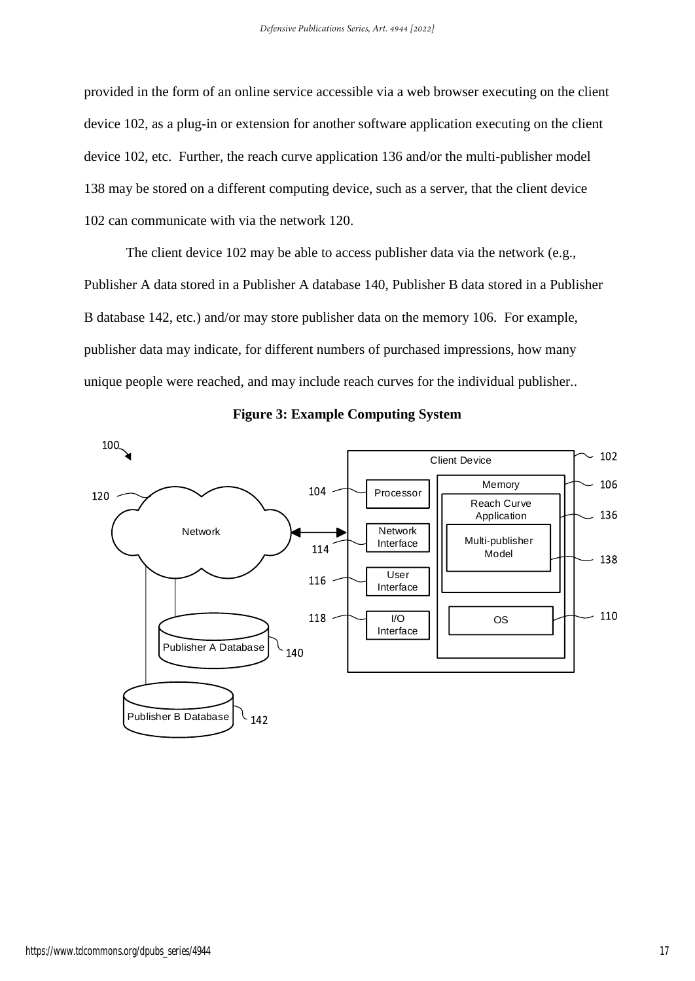provided in the form of an online service accessible via a web browser executing on the client device 102, as a plug-in or extension for another software application executing on the client device 102, etc. Further, the reach curve application 136 and/or the multi-publisher model 138 may be stored on a different computing device, such as a server, that the client device 102 can communicate with via the network 120.

The client device 102 may be able to access publisher data via the network (e.g., Publisher A data stored in a Publisher A database 140, Publisher B data stored in a Publisher B database 142, etc.) and/or may store publisher data on the memory 106. For example, publisher data may indicate, for different numbers of purchased impressions, how many unique people were reached, and may include reach curves for the individual publisher..



**Figure 3: Example Computing System**